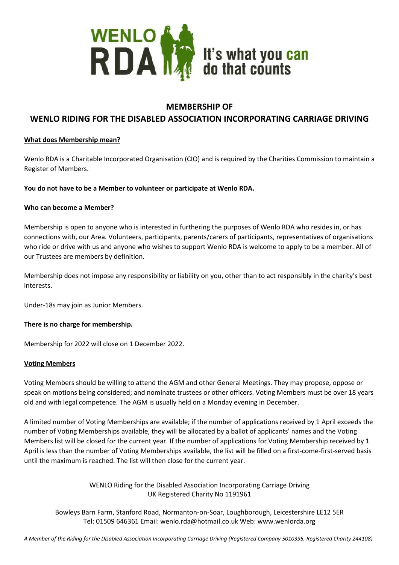

## **MEMBERSHIP OF**

# **WENLO RIDING FOR THE DISABLED ASSOCIATION INCORPORATING CARRIAGE DRIVING**

### **What does Membership mean?**

Wenlo RDA is a Charitable Incorporated Organisation (CIO) and is required by the Charities Commission to maintain a Register of Members.

#### **You do not have to be a Member to volunteer or participate at Wenlo RDA.**

#### **Who can become a Member?**

Membership is open to anyone who is interested in furthering the purposes of Wenlo RDA who resides in, or has connections with, our Area. Volunteers, participants, parents/carers of participants, representatives of organisations who ride or drive with us and anyone who wishes to support Wenlo RDA is welcome to apply to be a member. All of our Trustees are members by definition.

Membership does not impose any responsibility or liability on you, other than to act responsibly in the charity's best interests.

Under-18s may join as Junior Members.

#### **There is no charge for membership.**

Membership for 2022 will close on 1 December 2022.

#### **Voting Members**

Voting Members should be willing to attend the AGM and other General Meetings. They may propose, oppose or speak on motions being considered; and nominate trustees or other officers. Voting Members must be over 18 years old and with legal competence. The AGM is usually held on a Monday evening in December.

A limited number of Voting Memberships are available; if the number of applications received by 1 April exceeds the number of Voting Memberships available, they will be allocated by a ballot of applicants' names and the Voting Members list will be closed for the current year. If the number of applications for Voting Membership received by 1 April is less than the number of Voting Memberships available, the list will be filled on a first-come-first-served basis until the maximum is reached. The list will then close for the current year.

> WENLO Riding for the Disabled Association Incorporating Carriage Driving UK Registered Charity No 1191961

Bowleys Barn Farm, Stanford Road, Normanton-on-Soar, Loughborough, Leicestershire LE12 5ER Tel: 01509 646361 Email: wenlo.rda@hotmail.co.uk Web: www.wenlorda.org